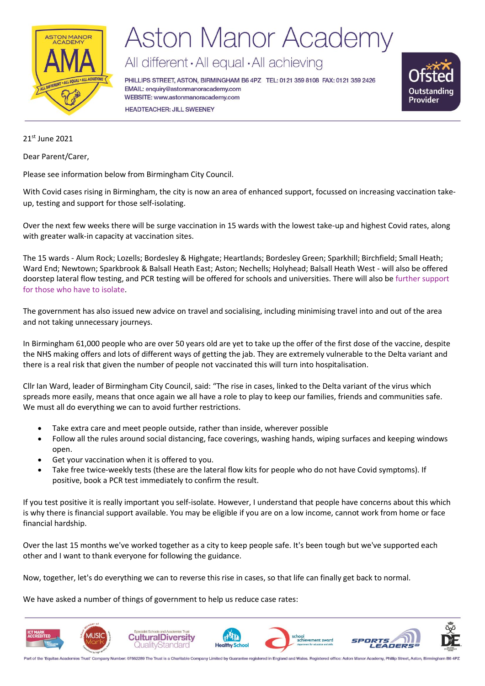

## **Aston Manor Academy**

All different · All equal · All achieving

PHILLIPS STREET, ASTON, BIRMINGHAM B6 4PZ TEL: 0121 359 8108 FAX: 0121 359 2426 EMAIL: enquiry@astonmanoracademy.com WEBSITE: www.astonmanoracademy.com **HEADTEACHER: JILL SWEENEY** 



21st June 2021

Dear Parent/Carer,

Please see information below from Birmingham City Council.

With Covid cases rising in Birmingham, the city is now an area of enhanced support, focussed on increasing vaccination takeup, testing and support for those self-isolating.

Over the next few weeks there will be surge vaccination in 15 wards with the lowest take-up and highest Covid rates, along with greater walk-in capacity at vaccination sites.

The 15 wards - Alum Rock; Lozells; Bordesley & Highgate; Heartlands; Bordesley Green; Sparkhill; Birchfield; Small Heath; Ward End; Newtown; Sparkbrook & Balsall Heath East; Aston; Nechells; Holyhead; Balsall Heath West - will also be offered doorstep lateral flow testing, and PCR testing will be offered for schools and universities. There will also be [further support](https://www.gov.uk/test-and-trace-support-payment)  [for those who have to isolate.](https://www.gov.uk/test-and-trace-support-payment)

The government has also issued new advice on travel and socialising, including minimising travel into and out of the area and not taking unnecessary journeys.

In Birmingham 61,000 people who are over 50 years old are yet to take up the offer of the first dose of the vaccine, despite the NHS making offers and lots of different ways of getting the jab. They are extremely vulnerable to the Delta variant and there is a real risk that given the number of people not vaccinated this will turn into hospitalisation.

Cllr Ian Ward, leader of Birmingham City Council, said: "The rise in cases, linked to the Delta variant of the virus which spreads more easily, means that once again we all have a role to play to keep our families, friends and communities safe. We must all do everything we can to avoid further restrictions.

- Take extra care and meet people outside, rather than inside, wherever possible
- Follow all the rules around social distancing, face coverings, washing hands, wiping surfaces and keeping windows open.
- Get your vaccination when it is offered to you.
- Take free twice-weekly tests (these are the lateral flow kits for people who do not have Covid symptoms). If positive, book a PCR test immediately to confirm the result.

If you test positive it is really important you self-isolate. However, I understand that people have concerns about this which is why there is financial support available. You may be eligible if you are on a low income, cannot work from home or face financial hardship.

Over the last 15 months we've worked together as a city to keep people safe. It's been tough but we've supported each other and I want to thank everyone for following the guidance.

Now, together, let's do everything we can to reverse this rise in cases, so that life can finally get back to normal.

We have asked a number of things of government to help us reduce case rates:



Part of the 'Equitas Academies Trust' Company Number: 07662289 The Trust is a Charitable Company Limited by Guarantee registered in England and Wales. Registered office: Aston Manor Academy, Phillip Street, Aston, Birmingh